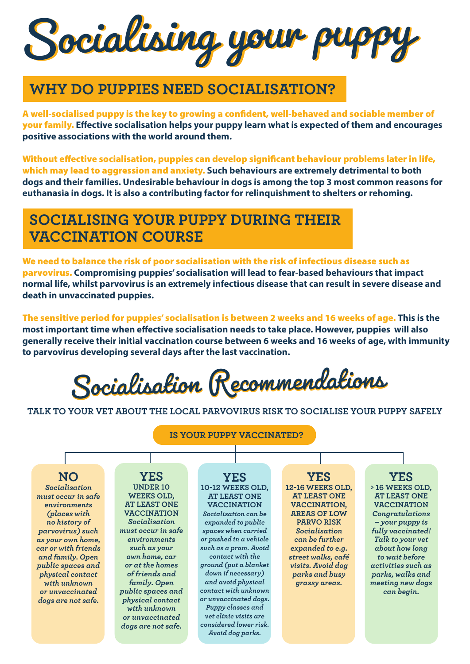Socialising your puppy

### **WHY DO PUPPIES NEED SOCIALISATION?**

A well-socialised puppy is the key to growing a confident, well-behaved and sociable member of your family. **Effective socialisation helps your puppy learn what is expected of them and encourages positive associations with the world around them.** 

Without effective socialisation, puppies can develop significant behaviour problems later in life, which may lead to aggression and anxiety. **Such behaviours are extremely detrimental to both dogs and their families. Undesirable behaviour in dogs is among the top 3 most common reasons for euthanasia in dogs. It is also a contributing factor for relinquishment to shelters or rehoming.** 

### **SOCIALISING YOUR PUPPY DURING THEIR VACCINATION COURSE**

We need to balance the risk of poor socialisation with the risk of infectious disease such as parvovirus. **Compromising puppies' socialisation will lead to fear-based behaviours that impact normal life, whilst parvovirus is an extremely infectious disease that can result in severe disease and death in unvaccinated puppies.** 

The sensitive period for puppies' socialisation is between 2 weeks and 16 weeks of age. **This is the most important time when effective socialisation needs to take place. However, puppies will also generally receive their initial vaccination course between 6 weeks and 16 weeks of age, with immunity to parvovirus developing several days after the last vaccination.** 

Socialisation Recommendations Socialisation Recommendations

**TALK TO YOUR VET ABOUT THE LOCAL PARVOVIRUS RISK TO SOCIALISE YOUR PUPPY SAFELY**